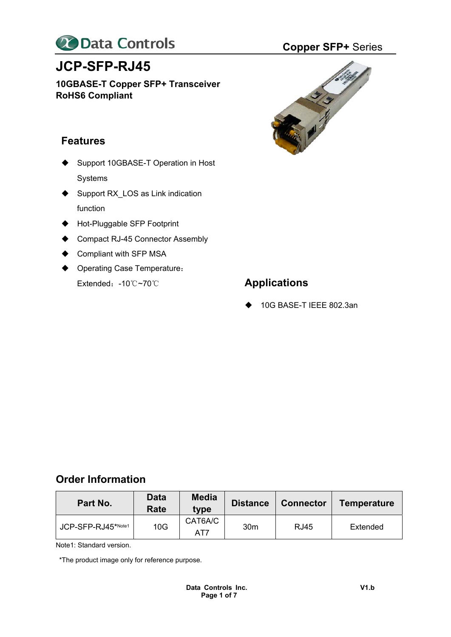

# **JCP-SFP-RJ45**

**10GBASE-T Copper SFP+ Transceiver RoHS6 Compliant**

# **Features**

- ◆ Support 10GBASE-T Operation in Host Systems
- ◆ Support RX\_LOS as Link indication function
- ◆ Hot-Pluggable SFP Footprint
- ◆ Compact RJ-45 Connector Assembly
- ♦ Compliant with SFP MSA
- ◆ Operating Case Temperature: Extended:-10℃~70℃ **Applications**



◆ 10G BASE-T IEEE 802.3an

# **Order Information**

| Part No.           | <b>Data</b><br>Rate | <b>Media</b><br>tvpe | <b>Distance</b> | <b>Connector</b> | Temperature |
|--------------------|---------------------|----------------------|-----------------|------------------|-------------|
| JCP-SFP-RJ45*Note1 | 10G                 | CAT6A/C<br>AT7       | 30 <sub>m</sub> | <b>RJ45</b>      | Extended    |

Note1: Standard version.

\*The product image only for reference purpose.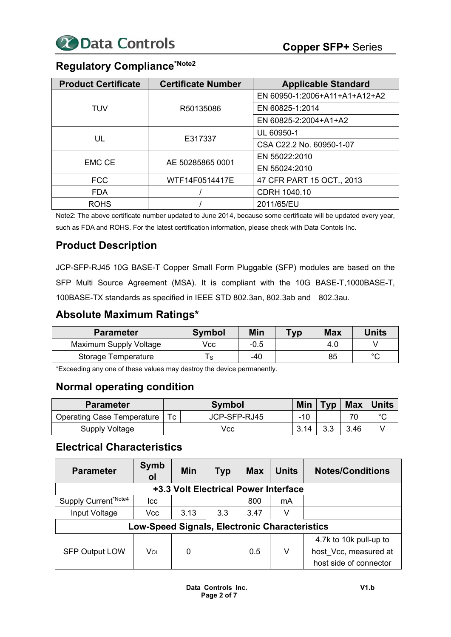# **Regulatory Compliance\*Note2**

| <b>Product Certificate</b> | <b>Certificate Number</b> | <b>Applicable Standard</b>    |
|----------------------------|---------------------------|-------------------------------|
|                            |                           | EN 60950-1:2006+A11+A1+A12+A2 |
| TUV                        | R50135086                 | EN 60825-1:2014               |
|                            |                           | EN 60825-2:2004+A1+A2         |
|                            |                           | UL 60950-1                    |
| UL                         | E317337                   | CSA C22.2 No. 60950-1-07      |
|                            |                           | EN 55022:2010                 |
| <b>EMC CE</b>              | AE 50285865 0001          | EN 55024:2010                 |
| <b>FCC</b>                 | WTF14F0514417E            | 47 CFR PART 15 OCT., 2013     |
| <b>FDA</b>                 |                           | CDRH 1040.10                  |
| <b>ROHS</b>                |                           | 2011/65/EU                    |

Note2: The above certificate number updated to June 2014, because some certificate will be updated every year, such as FDA and ROHS. For the latest certification information, please check with Data Contols Inc.

# **Product Description**

JCP-SFP-RJ45 10G BASE-T Copper Small Form Pluggable (SFP) modules are based on the SFP Multi Source Agreement (MSA). It is compliant with the 10G BASE-T,1000BASE-T, 100BASE-TX standards as specified in IEEE STD 802.3an, 802.3ab and 802.3au.

# **Absolute Maximum Ratings\***

| <b>Parameter</b>       | <b>Symbol</b> | Min    | Typ | <b>Max</b> | Units  |
|------------------------|---------------|--------|-----|------------|--------|
| Maximum Supply Voltage | Vcc           | $-0.5$ |     | 4.0        |        |
| Storage Temperature    | S             | $-40$  |     | 85         | $\sim$ |

\*Exceeding any one of these values may destroy the device permanently.

# **Normal operating condition**

| <b>Parameter</b>                  |      | <b>Symbol</b> |       | <b>Typ</b> | ∣ Max | <b>Units</b> |
|-----------------------------------|------|---------------|-------|------------|-------|--------------|
| <b>Operating Case Temperature</b> | Tc   | JCP-SFP-RJ45  | $-10$ |            |       | $\sim$       |
| Supply Voltage                    | Vcc. |               | 3.14  | 3.3        | 3.46  |              |

# **Electrical Characteristics**

| <b>Parameter</b>                     | <b>Symb</b><br>0l                                    | Min  | Typ | <b>Max</b> | <b>Units</b> | <b>Notes/Conditions</b> |  |
|--------------------------------------|------------------------------------------------------|------|-----|------------|--------------|-------------------------|--|
| +3.3 Volt Electrical Power Interface |                                                      |      |     |            |              |                         |  |
| Supply Current*Note4                 | Icc                                                  |      |     | 800        | mA           |                         |  |
| Input Voltage                        | Vcc                                                  | 3.13 | 3.3 | 3.47       | v            |                         |  |
|                                      | <b>Low-Speed Signals, Electronic Characteristics</b> |      |     |            |              |                         |  |
|                                      |                                                      |      |     |            |              | 4.7k to 10k pull-up to  |  |
| <b>SFP Output LOW</b>                | Vol                                                  | 0    |     | 0.5        | V            | host Vcc, measured at   |  |
|                                      |                                                      |      |     |            |              | host side of connector  |  |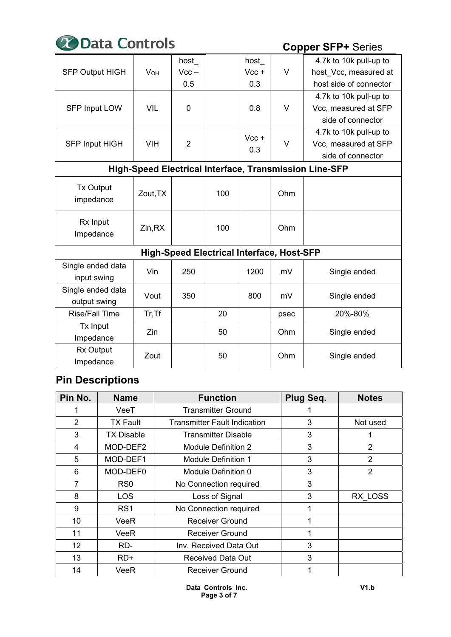

|                                                        |                       | host           |                                                  | host    |      | 4.7k to 10k pull-up to |
|--------------------------------------------------------|-----------------------|----------------|--------------------------------------------------|---------|------|------------------------|
| <b>SFP Output HIGH</b>                                 | <b>V<sub>OH</sub></b> | $Vcc -$        |                                                  | $Vcc +$ | V    | host Vcc, measured at  |
|                                                        |                       | 0.5            |                                                  | 0.3     |      | host side of connector |
|                                                        |                       |                |                                                  |         |      | 4.7k to 10k pull-up to |
| <b>SFP Input LOW</b>                                   | <b>VIL</b>            | $\mathbf 0$    |                                                  | 0.8     | V    | Vcc, measured at SFP   |
|                                                        |                       |                |                                                  |         |      | side of connector      |
|                                                        |                       |                |                                                  | $Vcc +$ |      | 4.7k to 10k pull-up to |
| <b>SFP Input HIGH</b>                                  | <b>VIH</b>            | $\overline{2}$ |                                                  | 0.3     | V    | Vcc, measured at SFP   |
|                                                        |                       |                |                                                  |         |      | side of connector      |
| High-Speed Electrical Interface, Transmission Line-SFP |                       |                |                                                  |         |      |                        |
| <b>Tx Output</b>                                       |                       |                |                                                  |         |      |                        |
| impedance                                              | Zout, TX              |                | 100                                              |         | Ohm  |                        |
|                                                        |                       |                |                                                  |         |      |                        |
| Rx Input                                               |                       |                |                                                  |         |      |                        |
| Impedance                                              | Zin, RX               |                | 100                                              |         | Ohm  |                        |
|                                                        |                       |                | <b>High-Speed Electrical Interface, Host-SFP</b> |         |      |                        |
| Single ended data                                      |                       |                |                                                  |         |      |                        |
| input swing                                            | Vin                   | 250            |                                                  | 1200    | mV   | Single ended           |
| Single ended data                                      |                       |                |                                                  |         |      |                        |
| output swing                                           | Vout                  | 350            |                                                  | 800     | mV   | Single ended           |
| <b>Rise/Fall Time</b>                                  | Tr, Tf                |                | 20                                               |         | psec | 20%-80%                |
| Tx Input                                               | Zin                   |                | 50                                               |         | Ohm  |                        |
| Impedance                                              |                       |                |                                                  |         |      | Single ended           |
| <b>Rx Output</b>                                       | Zout                  |                | 50                                               |         | Ohm  | Single ended           |
| Impedance                                              |                       |                |                                                  |         |      |                        |

# **Pin Descriptions**

| Pin No. | <b>Name</b>       | <b>Function</b>                     | Plug Seq. | <b>Notes</b>   |
|---------|-------------------|-------------------------------------|-----------|----------------|
|         | VeeT              | <b>Transmitter Ground</b>           |           |                |
| 2       | <b>TX Fault</b>   | <b>Transmitter Fault Indication</b> | 3         | Not used       |
| 3       | <b>TX Disable</b> | Transmitter Disable                 | 3         |                |
| 4       | MOD-DEF2          | Module Definition 2                 | 3         | $\overline{2}$ |
| 5       | MOD-DEF1          | <b>Module Definition 1</b>          | 3         | $\overline{2}$ |
| 6       | MOD-DEF0          | Module Definition 0                 | 3         | $\overline{2}$ |
| 7       | RS <sub>0</sub>   | No Connection required              | 3         |                |
| 8       | LOS.              | Loss of Signal                      | 3         | RX LOSS        |
| 9       | RS <sub>1</sub>   | No Connection required              |           |                |
| 10      | VeeR              | <b>Receiver Ground</b>              |           |                |
| 11      | VeeR              | <b>Receiver Ground</b>              |           |                |
| 12      | RD-               | Inv. Received Data Out              | 3         |                |
| 13      | $RD+$             | <b>Received Data Out</b>            | 3         |                |
| 14      | VeeR              | <b>Receiver Ground</b>              |           |                |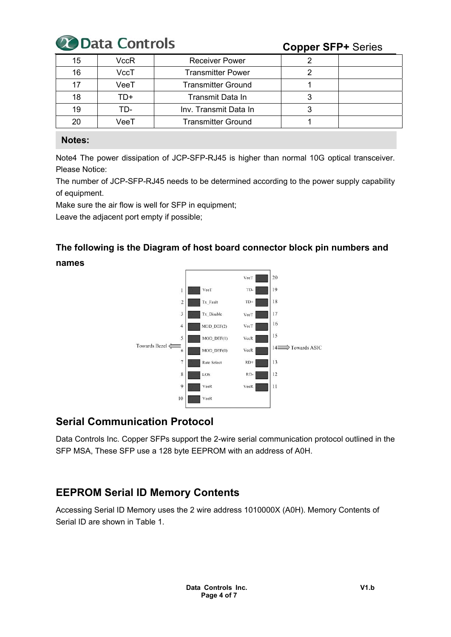

| 15 | VccR | <b>Receiver Power</b>     |  |
|----|------|---------------------------|--|
|    |      |                           |  |
| 16 | VccT | <b>Transmitter Power</b>  |  |
|    | VeeT | <b>Transmitter Ground</b> |  |
| 18 | TD+  | Transmit Data In          |  |
| 19 | TD-  | Inv. Transmit Data In     |  |
| 20 | VeeT | <b>Transmitter Ground</b> |  |

### **Notes:**

Note4 The power dissipation of JCP-SFP-RJ45 is higher than normal 10G optical transceiver. Please Notice:

The number of JCP-SFP-RJ45 needs to be determined according to the power supply capability of equipment.

Make sure the air flow is well for SFP in equipment;

Leave the adjacent port empty if possible;

# **The following is the Diagram of host board connector block pin numbers and names**



# **Serial Communication Protocol**

Data Controls Inc. Copper SFPs support the 2-wire serial communication protocol outlined in the SFP MSA, These SFP use a 128 byte EEPROM with an address of A0H.

# **EEPROM Serial ID Memory Contents**

Accessing Serial ID Memory uses the 2 wire address 1010000X (A0H). Memory Contents of Serial ID are shown in Table 1.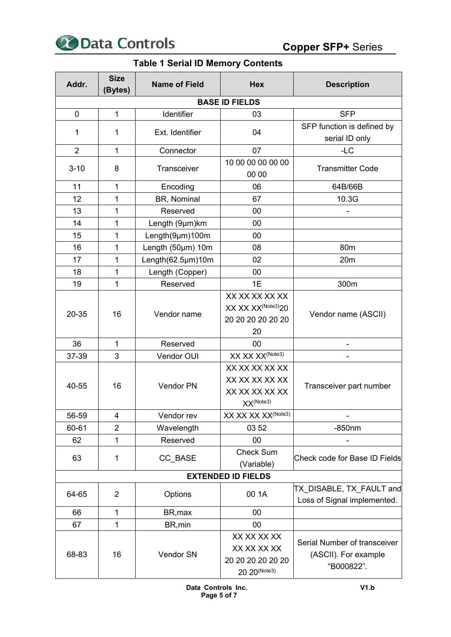

## **Table 1 Serial ID Memory Contents**

| Addr.          | <b>Size</b><br>(Bytes) | <b>Name of Field</b> | <b>Hex</b>                                                                  | <b>Description</b>                                                 |
|----------------|------------------------|----------------------|-----------------------------------------------------------------------------|--------------------------------------------------------------------|
|                |                        |                      | <b>BASE ID FIELDS</b>                                                       |                                                                    |
| $\mathbf 0$    | 1                      | Identifier           | 03                                                                          | <b>SFP</b>                                                         |
| 1              | 1                      | Ext. Identifier      | 04                                                                          | SFP function is defined by<br>serial ID only                       |
| $\overline{2}$ | 1                      | 07<br>Connector      |                                                                             | $-LC$                                                              |
| $3 - 10$       | 8                      | Transceiver          | 10 00 00 00 00 00<br>00 00                                                  | <b>Transmitter Code</b>                                            |
| 11             | 1                      | Encoding             | 06                                                                          | 64B/66B                                                            |
| 12             | 1                      | BR, Nominal          | 67                                                                          | 10.3G                                                              |
| 13             | 1                      | Reserved             | 00                                                                          |                                                                    |
| 14             | 1                      | Length (9µm)km       | 00                                                                          |                                                                    |
| 15             | 1                      | Length(9µm)100m      | 00                                                                          |                                                                    |
| 16             | 1                      | Length (50µm) 10m    | 08                                                                          | 80 <sub>m</sub>                                                    |
| 17             | 1                      | Length(62.5µm)10m    | 02                                                                          | 20m                                                                |
| 18             | 1                      | Length (Copper)      | 00                                                                          |                                                                    |
| 19             | 1                      | Reserved             | 1E                                                                          | 300m                                                               |
| 20-35          | 16                     | Vendor name          | XX XX XX XX XX<br>XX XX XX <sup>(Note3)</sup> 20<br>20 20 20 20 20 20<br>20 | Vendor name (ASCII)                                                |
| 36             | 1                      | Reserved             | 00                                                                          |                                                                    |
| 37-39          | 3                      | Vendor OUI           | XX XX XX <sup>(Note3)</sup>                                                 |                                                                    |
| 40-55          | 16                     | Vendor PN            | XX XX XX XX XX<br>XX XX XX XX XX<br>XX XX XX XX XX<br>XX(Note3)             | Transceiver part number                                            |
| 56-59          | 4                      | Vendor rev           | XX XX XX XX <sup>(Note3)</sup>                                              |                                                                    |
| 60-61          | $\overline{2}$         | Wavelength           | 03 52                                                                       | $-850$ nm                                                          |
| 62             | 1                      | Reserved             | 00                                                                          |                                                                    |
| 63             | 1                      | CC_BASE              | <b>Check Sum</b><br>(Variable)                                              | Check code for Base ID Fields                                      |
|                |                        |                      | <b>EXTENDED ID FIELDS</b>                                                   |                                                                    |
| 64-65          | $\overline{2}$         | Options              | 00 1A                                                                       | TX DISABLE, TX FAULT and<br>Loss of Signal implemented.            |
| 66             | 1                      | BR, max              | 00                                                                          |                                                                    |
| 67             | 1                      | BR, min              | 00                                                                          |                                                                    |
| 68-83          | 16                     | Vendor SN            | XX XX XX XX<br>XX XX XX XX<br>20 20 20 20 20 20<br>20 20(Note3)             | Serial Number of transceiver<br>(ASCII). For example<br>"B000822". |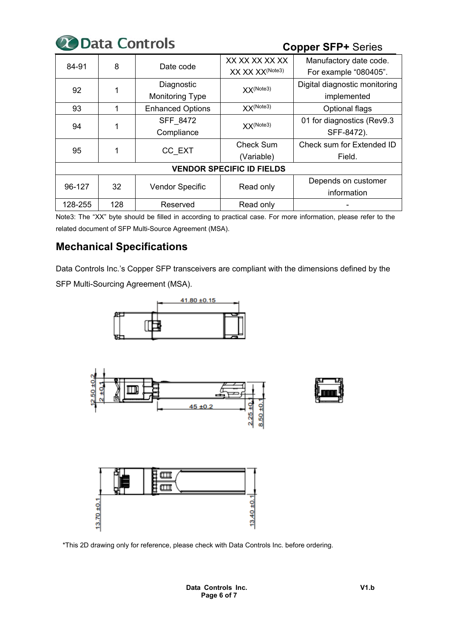

| 84-91   | 8   | Date code                    | XX XX XX XX XX                   | Manufactory date code.        |
|---------|-----|------------------------------|----------------------------------|-------------------------------|
|         |     |                              | XX XX XX <sup>(Note3)</sup>      | For example "080405".         |
| 92      |     | Diagnostic                   | $XX^{(Note3)}$                   | Digital diagnostic monitoring |
|         |     | <b>Monitoring Type</b>       |                                  | implemented                   |
| 93      |     | <b>Enhanced Options</b>      | $XX^{(Note3)}$                   | Optional flags                |
| 94      |     | SFF 8472                     | XX(Note3)                        | 01 for diagnostics (Rev9.3    |
|         |     | Compliance                   |                                  | SFF-8472).                    |
| 95      |     |                              | Check Sum                        | Check sum for Extended ID     |
|         |     | CC EXT                       | (Variable)                       | Field.                        |
|         |     |                              | <b>VENDOR SPECIFIC ID FIELDS</b> |                               |
| 96-127  | 32  |                              |                                  | Depends on customer           |
|         |     | Vendor Specific<br>Read only |                                  | information                   |
| 128-255 | 128 | Reserved                     | Read only                        |                               |

Note3: The "XX" byte should be filled in according to practical case. For more information, please refer to the related document of SFP Multi-Source Agreement (MSA).

# **Mechanical Specifications**

Data Controls Inc.'s Copper SFP transceivers are compliant with the dimensions defined by the SFP Multi-Sourcing Agreement (MSA).



\*This 2D drawing only for reference, please check with Data Controls Inc. before ordering.